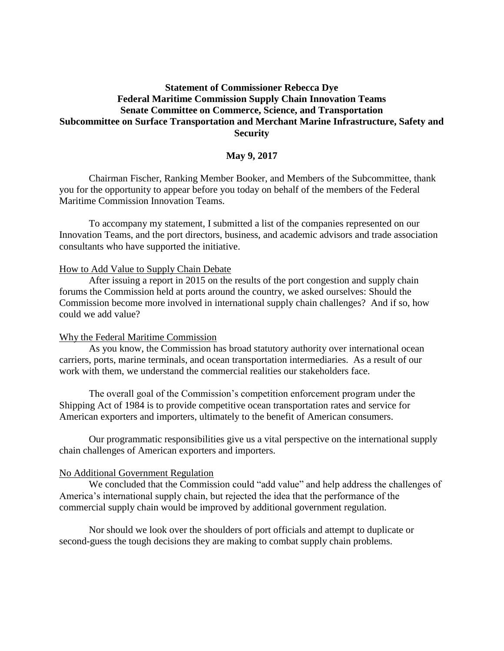# **Statement of Commissioner Rebecca Dye Federal Maritime Commission Supply Chain Innovation Teams Senate Committee on Commerce, Science, and Transportation Subcommittee on Surface Transportation and Merchant Marine Infrastructure, Safety and Security**

## **May 9, 2017**

Chairman Fischer, Ranking Member Booker, and Members of the Subcommittee, thank you for the opportunity to appear before you today on behalf of the members of the Federal Maritime Commission Innovation Teams.

To accompany my statement, I submitted a list of the companies represented on our Innovation Teams, and the port directors, business, and academic advisors and trade association consultants who have supported the initiative.

### How to Add Value to Supply Chain Debate

After issuing a report in 2015 on the results of the port congestion and supply chain forums the Commission held at ports around the country, we asked ourselves: Should the Commission become more involved in international supply chain challenges? And if so, how could we add value?

#### Why the Federal Maritime Commission

As you know, the Commission has broad statutory authority over international ocean carriers, ports, marine terminals, and ocean transportation intermediaries. As a result of our work with them, we understand the commercial realities our stakeholders face.

The overall goal of the Commission's competition enforcement program under the Shipping Act of 1984 is to provide competitive ocean transportation rates and service for American exporters and importers, ultimately to the benefit of American consumers.

Our programmatic responsibilities give us a vital perspective on the international supply chain challenges of American exporters and importers.

#### No Additional Government Regulation

We concluded that the Commission could "add value" and help address the challenges of America's international supply chain, but rejected the idea that the performance of the commercial supply chain would be improved by additional government regulation.

Nor should we look over the shoulders of port officials and attempt to duplicate or second-guess the tough decisions they are making to combat supply chain problems.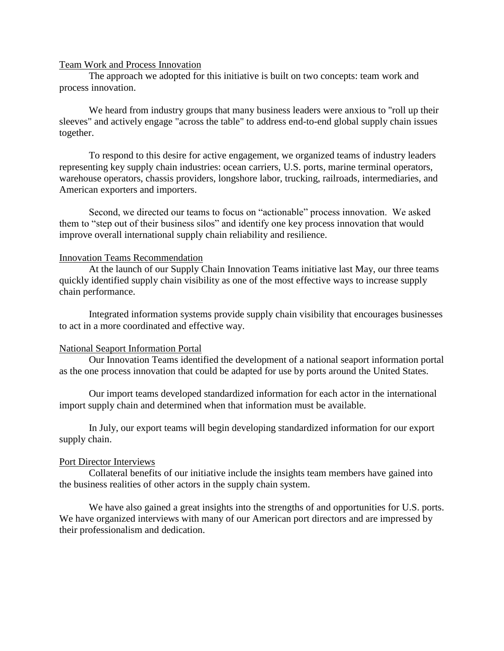#### Team Work and Process Innovation

The approach we adopted for this initiative is built on two concepts: team work and process innovation.

We heard from industry groups that many business leaders were anxious to "roll up their sleeves" and actively engage "across the table" to address end-to-end global supply chain issues together.

To respond to this desire for active engagement, we organized teams of industry leaders representing key supply chain industries: ocean carriers, U.S. ports, marine terminal operators, warehouse operators, chassis providers, longshore labor, trucking, railroads, intermediaries, and American exporters and importers.

Second, we directed our teams to focus on "actionable" process innovation. We asked them to "step out of their business silos" and identify one key process innovation that would improve overall international supply chain reliability and resilience.

#### Innovation Teams Recommendation

At the launch of our Supply Chain Innovation Teams initiative last May, our three teams quickly identified supply chain visibility as one of the most effective ways to increase supply chain performance.

Integrated information systems provide supply chain visibility that encourages businesses to act in a more coordinated and effective way.

### National Seaport Information Portal

Our Innovation Teams identified the development of a national seaport information portal as the one process innovation that could be adapted for use by ports around the United States.

Our import teams developed standardized information for each actor in the international import supply chain and determined when that information must be available.

In July, our export teams will begin developing standardized information for our export supply chain.

#### Port Director Interviews

Collateral benefits of our initiative include the insights team members have gained into the business realities of other actors in the supply chain system.

We have also gained a great insights into the strengths of and opportunities for U.S. ports. We have organized interviews with many of our American port directors and are impressed by their professionalism and dedication.